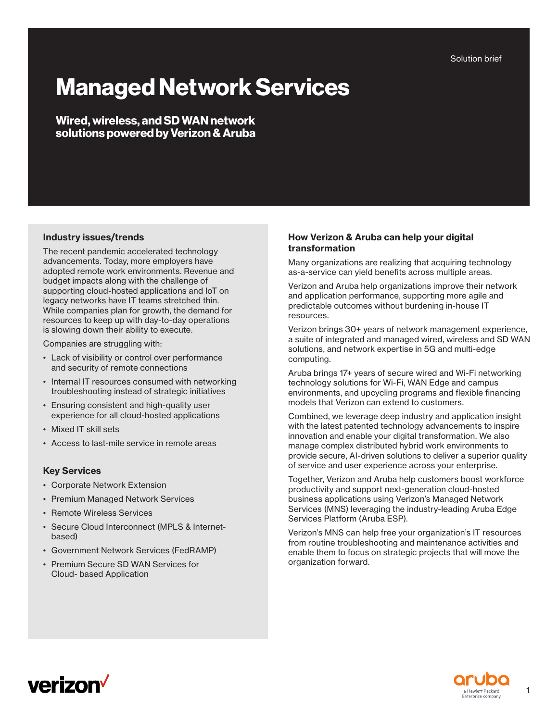Solution brief

# **Managed Network Services**

**Wired, wireless, and SD WAN network solutions powered by Verizon & Aruba**

## **Industry issues/trends**

The recent pandemic accelerated technology advancements. Today, more employers have adopted remote work environments. Revenue and budget impacts along with the challenge of supporting cloud-hosted applications and IoT on legacy networks have IT teams stretched thin. While companies plan for growth, the demand for resources to keep up with day-to-day operations is slowing down their ability to execute.

Companies are struggling with:

- Lack of visibility or control over performance and security of remote connections
- Internal IT resources consumed with networking troubleshooting instead of strategic initiatives
- Ensuring consistent and high-quality user experience for all cloud-hosted applications
- Mixed IT skill sets
- Access to last-mile service in remote areas

## **Key Services**

- Corporate Network Extension
- Premium Managed Network Services
- Remote Wireless Services
- Secure Cloud Interconnect (MPLS & Internetbased)
- Government Network Services (FedRAMP)
- Premium Secure SD WAN Services for Cloud- based Application

## **How Verizon & Aruba can help your digital transformation**

Many organizations are realizing that acquiring technology as-a-service can yield benefits across multiple areas.

Verizon and Aruba help organizations improve their network and application performance, supporting more agile and predictable outcomes without burdening in-house IT resources.

Verizon brings 30+ years of network management experience, a suite of integrated and managed wired, wireless and SD WAN solutions, and network expertise in 5G and multi-edge computing.

Aruba brings 17+ years of secure wired and Wi-Fi networking technology solutions for Wi-Fi, WAN Edge and campus environments, and upcycling programs and flexible financing models that Verizon can extend to customers.

Combined, we leverage deep industry and application insight with the latest patented technology advancements to inspire innovation and enable your digital transformation. We also manage complex distributed hybrid work environments to provide secure, AI-driven solutions to deliver a superior quality of service and user experience across your enterprise.

Together, Verizon and Aruba help customers boost workforce productivity and support next-generation cloud-hosted business applications using Verizon's Managed Network Services (MNS) leveraging the industry-leading Aruba Edge Services Platform (Aruba ESP).

Verizon's MNS can help free your organization's IT resources from routine troubleshooting and maintenance activities and enable them to focus on strategic projects that will move the organization forward.